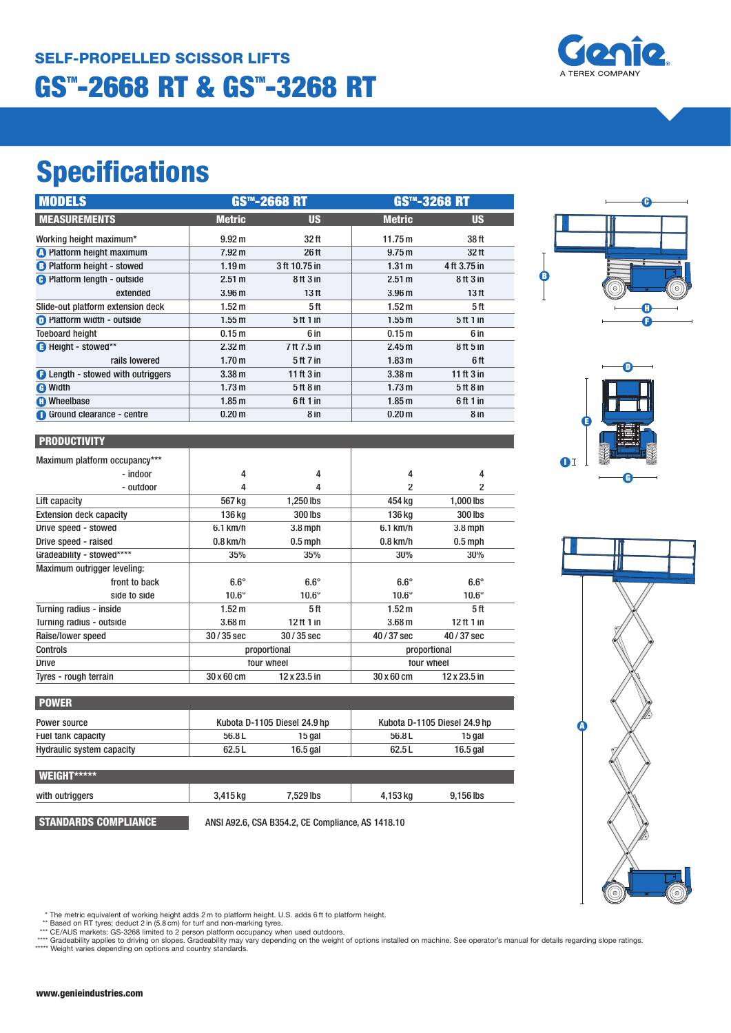

| <b>MODELS</b>                            | <b>GS™-2668 RT</b> |                                 | <b>GS™-3268 RT</b> |                                 |
|------------------------------------------|--------------------|---------------------------------|--------------------|---------------------------------|
| <b>MEASUREMENTS</b>                      | <b>Metric</b>      | <b>US</b>                       | <b>Metric</b>      | <b>US</b>                       |
| Working height maximum*                  | 9.92 m             | 32 ft                           | 11.75 m            | 38 ft                           |
| <b>O</b> Platform height maximum         | 7.92 m             | 26 ft                           | 9.75 m             | 32 ft                           |
| <b>B</b> Platform height - stowed        | 1.19 <sub>m</sub>  | 3 ft 10.75 in                   | 1.31 m             | 4 ft 3.75 in                    |
| <b>O</b> Platform length - outside       | 2.51 m             | 8 <sup>th</sup> 3 <sup>in</sup> | 2.51 m             | 8 <sup>th</sup> 3 <sup>in</sup> |
| extended                                 | 3.96 <sub>m</sub>  | 13 <sub>ft</sub>                | 3.96 <sub>m</sub>  | 13 <sub>ft</sub>                |
| Slide-out platform extension deck        | 1.52 <sub>m</sub>  | 5 ft                            | 1.52 <sub>m</sub>  | 5 ft                            |
| <b>D</b> Platform width - outside        | 1.55m              | 5 <sup>ft</sup> 1 in            | 1.55 <sub>m</sub>  | 5 ft 1 in                       |
| <b>Toeboard height</b>                   | 0.15 <sub>m</sub>  | 6 in                            | 0.15 <sub>m</sub>  | 6 in                            |
| Height - stowed**                        | 2.32 m             | 7 ft 7.5 in                     | 2.45 m             | 8 <sup>th</sup> 5 <sup>th</sup> |
| rails lowered                            | 1.70 <sub>m</sub>  | $5th$ 7 in                      | 1.83 <sub>m</sub>  | 6 ft                            |
| <b>B</b> Length - stowed with outriggers | 3.38 <sub>m</sub>  | 11 ft $3$ in                    | 3.38 <sub>m</sub>  | 11 ft $3$ in                    |
| <b>O</b> Width                           | 1.73 <sub>m</sub>  | 5 <sup>th</sup> 8 <sup>th</sup> | 1.73 <sub>m</sub>  | 5ft8in                          |
| <b>C</b> Wheelbase                       | 1.85 <sub>m</sub>  | 6ft 1 in                        | 1.85 <sub>m</sub>  | 6ft 1 in                        |
| Ground clearance - centre                | 0.20 <sub>m</sub>  | 8 in                            | 0.20 <sub>m</sub>  | 8 in                            |



| Maximum platform occupancy***  |                   |              |                   |              |
|--------------------------------|-------------------|--------------|-------------------|--------------|
| - indoor                       | 4                 | 4            | 4                 | 4            |
| - outdoor                      | 4                 | 4            | 2                 | 2            |
| Lift capacity                  | 567 kg            | 1.250 lbs    | 454 kg            | 1,000 lbs    |
| <b>Extension deck capacity</b> | 136 kg            | 300 lbs      | 136 ka            | 300 lbs      |
| Drive speed - stowed           | 6.1 km/h          | $3.8$ mph    | $6.1$ km/h        | $3.8$ mph    |
| Drive speed - raised           | $0.8$ km/h        | $0.5$ mph    | $0.8$ km/h        | $0.5$ mph    |
| Gradeability - stowed****      | 35%               | 35%          | 30%               | 30%          |
| Maximum outrigger leveling:    |                   |              |                   |              |
| front to back                  | $6.6^\circ$       | $6.6^\circ$  | $6.6^\circ$       | $6.6^\circ$  |
| side to side                   | $10.6^\circ$      | $10.6^\circ$ | $10.6^\circ$      | $10.6^\circ$ |
| Turning radius - inside        | $1.52 \text{ m}$  | 5 ft         | 1.52 <sub>m</sub> | 5ft          |
| Turning radius - outside       | 3.68 <sub>m</sub> | 12 ft 1 in   | 3.68 <sub>m</sub> | $12$ ft 1 in |
| Raise/lower speed              | $30/35$ sec       | $30/35$ sec  | 40/37 sec         | 40/37 sec    |
| Controls                       | proportional      |              | proportional      |              |
| <b>Drive</b>                   | four wheel        |              | four wheel        |              |
| Tyres - rough terrain          | 30 x 60 cm        | 12 x 23.5 in | $30 \times 60$ cm | 12 x 23.5 in |

| <b>POWER</b>              |       |                              |        |                              |  |
|---------------------------|-------|------------------------------|--------|------------------------------|--|
| Power source              |       | Kubota D-1105 Diesel 24.9 hp |        | Kubota D-1105 Diesel 24.9 hp |  |
| Fuel tank capacity        | 56.8L | 15 gal                       | 56.8 L | 15 gal                       |  |
| Hydraulic system capacity | 62.5L | 16.5 gal                     | 62.5L  | 16.5 gal                     |  |

| <b>WEIGHT*****</b> |          |           |          |           |
|--------------------|----------|-----------|----------|-----------|
| with outriggers    | 3,415 kg | 7.529 lbs | 4,153 kg | 9.156 lbs |
|                    |          |           |          |           |

**STANDARDS COMPLIANCE** ANSI A92.6, CSA B354.2, CE Compliance, AS 1418.10







\* The metric equivalent of working height adds 2 m to platform height. U.S. adds 6ft to platform height.<br>\*\* Based on RT tyres; deduct 2 in (5.8 cm) for turf and non-marking tyres.<br>\*\*\* CE/AUS markets: GS-3268 limited to 2 p \*\*\*\*\* Weight varies depending on options and country standards.